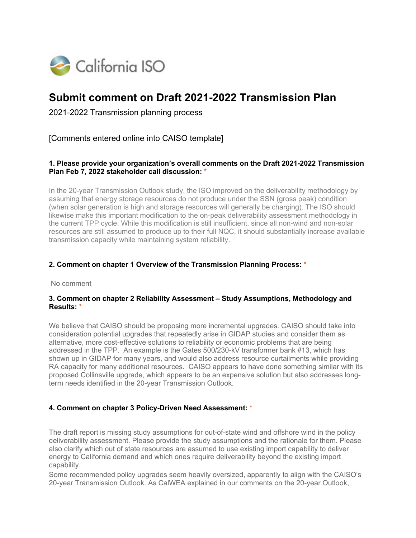

# **Submit comment on Draft 2021-2022 Transmission Plan**

2021-2022 Transmission planning process

[Comments entered online into CAISO template]

### **1. Please provide your organization's overall comments on the Draft 2021-2022 Transmission Plan Feb 7, 2022 stakeholder call discussion:** \*

In the 20-year Transmission Outlook study, the ISO improved on the deliverability methodology by assuming that energy storage resources do not produce under the SSN (gross peak) condition (when solar generation is high and storage resources will generally be charging). The ISO should likewise make this important modification to the on-peak deliverability assessment methodology in the current TPP cycle. While this modification is still insufficient, since all non-wind and non-solar resources are still assumed to produce up to their full NQC, it should substantially increase available transmission capacity while maintaining system reliability.

#### **2. Comment on chapter 1 Overview of the Transmission Planning Process:** \*

No comment

#### **3. Comment on chapter 2 Reliability Assessment – Study Assumptions, Methodology and Results:** \*

We believe that CAISO should be proposing more incremental upgrades. CAISO should take into consideration potential upgrades that repeatedly arise in GIDAP studies and consider them as alternative, more cost-effective solutions to reliability or economic problems that are being addressed in the TPP. An example is the Gates 500/230-kV transformer bank #13, which has shown up in GIDAP for many years, and would also address resource curtailments while providing RA capacity for many additional resources. CAISO appears to have done something similar with its proposed Collinsville upgrade, which appears to be an expensive solution but also addresses longterm needs identified in the 20-year Transmission Outlook.

### **4. Comment on chapter 3 Policy-Driven Need Assessment:** \*

The draft report is missing study assumptions for out-of-state wind and offshore wind in the policy deliverability assessment. Please provide the study assumptions and the rationale for them. Please also clarify which out of state resources are assumed to use existing import capability to deliver energy to California demand and which ones require deliverability beyond the existing import capability.

Some recommended policy upgrades seem heavily oversized, apparently to align with the CAISO's 20-year Transmission Outlook. As CalWEA explained in our comments on the 20-year Outlook,